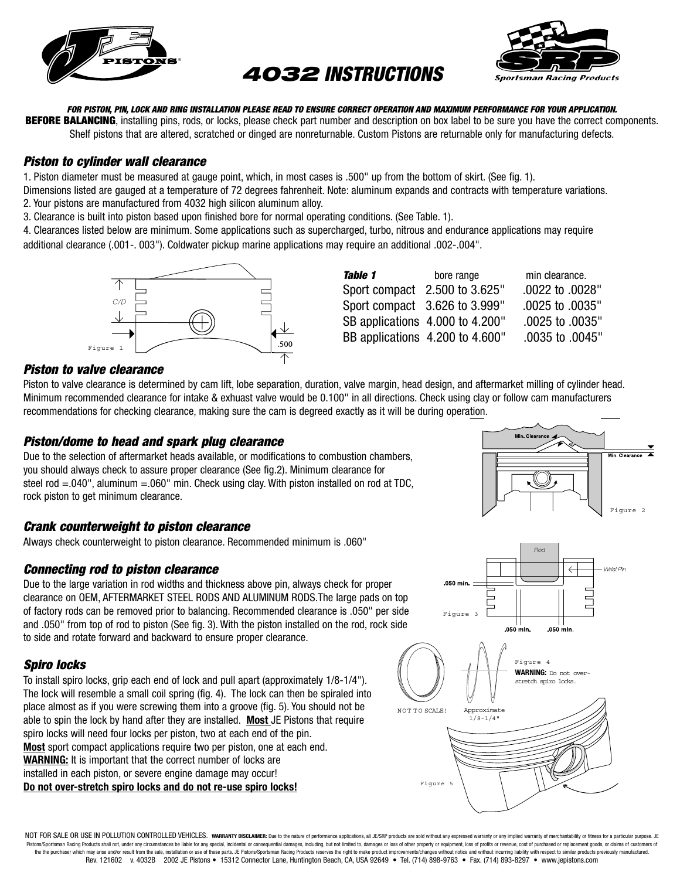

# *4032 INSTRUCTIONS*



*FOR PISTON, PIN, LOCK AND RING INSTALLATION PLEASE READ TO ENSURE CORRECT OPERATION AND MAXIMUM PERFORMANCE FOR YOUR APPLICATION.*  **BEFORE BALANCING**, installing pins, rods, or locks, please check part number and description on box label to be sure you have the correct components. Shelf pistons that are altered, scratched or dinged are nonreturnable. Custom Pistons are returnable only for manufacturing defects.

#### *Piston to cylinder wall clearance*

1. Piston diameter must be measured at gauge point, which, in most cases is .500" up from the bottom of skirt. (See fig. 1).

Dimensions listed are gauged at a temperature of 72 degrees fahrenheit. Note: aluminum expands and contracts with temperature variations. 2. Your pistons are manufactured from 4032 high silicon aluminum alloy.

3. Clearance is built into piston based upon finished bore for normal operating conditions. (See Table. 1).

4. Clearances listed below are minimum. Some applications such as supercharged, turbo, nitrous and endurance applications may require additional clearance (.001-. 003"). Coldwater pickup marine applications may require an additional .002-.004".



| Table 1 | bore range                      | min clearance.  |
|---------|---------------------------------|-----------------|
|         | Sport compact 2.500 to 3.625"   | .0022 to .0028" |
|         | Sport compact 3.626 to 3.999"   | .0025 to .0035" |
|         | SB applications 4.000 to 4.200" | .0025 to .0035" |
|         | BB applications 4.200 to 4.600" | .0035 to .0045" |

#### *Piston to valve clearance*

Piston to valve clearance is determined by cam lift, lobe separation, duration, valve margin, head design, and aftermarket milling of cylinder head. Minimum recommended clearance for intake & exhuast valve would be 0.100" in all directions. Check using clay or follow cam manufacturers recommendations for checking clearance, making sure the cam is degreed exactly as it will be during operation.

#### *Piston/dome to head and spark plug clearance*

Due to the selection of aftermarket heads available, or modifications to combustion chambers, you should always check to assure proper clearance (See fig.2). Minimum clearance for steel rod  $=0.040$ ", aluminum  $=0.060$ " min. Check using clay. With piston installed on rod at TDC, rock piston to get minimum clearance.

#### *Crank counterweight to piston clearance*

Always check counterweight to piston clearance. Recommended minimum is .060"

#### *Connecting rod to piston clearance*

Due to the large variation in rod widths and thickness above pin, always check for proper clearance on OEM, AFTERMARKET STEEL RODS AND ALUMINUM RODS.The large pads on top of factory rods can be removed prior to balancing. Recommended clearance is .050" per side and .050" from top of rod to piston (See fig. 3). With the piston installed on the rod, rock side to side and rotate forward and backward to ensure proper clearance.

#### *Spiro locks*

To install spiro locks, grip each end of lock and pull apart (approximately 1/8-1/4"). The lock will resemble a small coil spring (fig. 4). The lock can then be spiraled into place almost as if you were screwing them into a groove (fig. 5). You should not be able to spin the lock by hand after they are installed. **Most** JE Pistons that require spiro locks will need four locks per piston, two at each end of the pin. **Most** sport compact applications require two per piston, one at each end. **WARNING:** It is important that the correct number of locks are installed in each piston, or severe engine damage may occur! **Do not over-stretch spiro locks and do not re-use spiro locks!**





NOT FOR SALE OR USE IN POLLUTION CONTROLLED VEHICLES. WARRANTY DISCLAIMER: Due to the nature of performance applications, all JE/SRP products are sold without any expressed warranty or any implied warranty of merchantabili Pistons/Sportsman Racing Products shall not, under any circumstances be liable for any special, incidental or consequential damages, including, but not limited to, damages or loss of other property or equipment, loss of pr the the purchaser which may arise and/or result from the sale, installation or use of these parts. JE Pistons/Sportsman Racing Products reserves the right to make product improvements/changes without notice and without inc Rev. 121602 v. 4032B 2002 JE Pistons • 15312 Connector Lane, Huntington Beach, CA, USA 92649 • Tel. (714) 898-9763 • Fax. (714) 893-8297 • www.jepistons.com